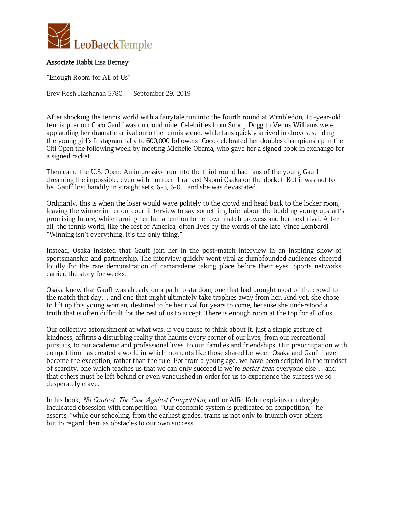

## Associate Rabbi Lisa Berney

"Enough Room for All of Us"

Erev Rosh Hashanah 5780 September 29, 2019

After shocking the tennis world with a fairytale run into the fourth round at Wimbledon, 15-year-old tennis phenom Coco Gauff was on cloud nine. Celebrities from Snoop Dogg to Venus Williams were applauding her dramatic arrival onto the tennis scene, while fans quickly arrived in droves, sending the young girl's Instagram tally to 600,000 followers. Coco celebrated her doubles championship in the Citi Open the following week by meeting Michelle Obama, who gave her a signed book in exchange for a signed racket.

Then came the U.S. Open. An impressive run into the third round had fans of the young Gauff dreaming the impossible, even with number-1 ranked Naomi Osaka on the docket. But it was not to be. Gauff lost handily in straight sets, 6-3, 6-0…and she was devastated.

Ordinarily, this is when the loser would wave politely to the crowd and head back to the locker room, leaving the winner in her on-court interview to say something brief about the budding young upstart's promising future, while turning her full attention to her own match prowess and her next rival. After all, the tennis world, like the rest of America, often lives by the words of the late Vince Lombardi, "Winning isn't everything. It's the only thing."

Instead, Osaka insisted that Gauff join her in the post-match interview in an inspiring show of sportsmanship and partnership. The interview quickly went viral as dumbfounded audiences cheered loudly for the rare demonstration of camaraderie taking place before their eyes. Sports networks carried the story for weeks.

Osaka knew that Gauff was already on a path to stardom, one that had brought most of the crowd to the match that day… and one that might ultimately take trophies away from her. And yet, she chose to lift up this young woman, destined to be her rival for years to come, because she understood a truth that is often difficult for the rest of us to accept: There is enough room at the top for all of us.

Our collective astonishment at what was, if you pause to think about it, just a simple gesture of kindness, affirms a disturbing reality that haunts every corner of our lives, from our recreational pursuits, to our academic and professional lives, to our families and friendships. Our preoccupation with competition has created a world in which moments like those shared between Osaka and Gauff have become the exception, rather than the rule. For from a young age, we have been scripted in the mindset of scarcity, one which teaches us that we can only succeed if we're *better than* everyone else... and that others must be left behind or even vanquished in order for us to experience the success we so desperately crave.

In his book, No Contest: The Case Against Competition, author Alfie Kohn explains our deeply inculcated obsession with competition: "Our economic system is predicated on competition," he asserts, "while our schooling, from the earliest grades, trains us not only to triumph over others but to regard them as obstacles to our own success.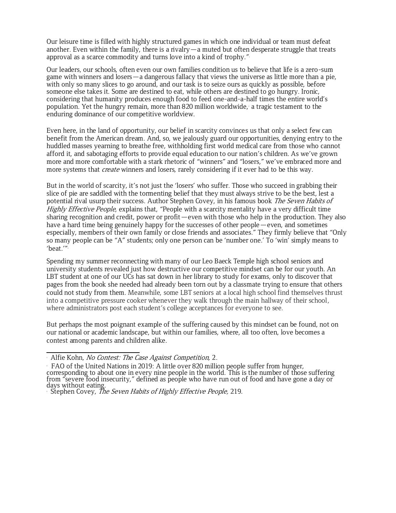Our leisure time is filled with highly structured games in which one individual or team must defeat another. Even within the family, there is a rivalry  $-a$  muted but often desperate struggle that treats approval as a scarce commodity and turns love into a kind of trophy."

Our leaders, our schools, often even our own families condition us to believe that life is a zero-sum game with winners and losers—a dangerous fallacy that views the universe as little more than a pie, with only so many slices to go around, and our task is to seize ours as quickly as possible, before someone else takes it. Some are destined to eat, while others are destined to go hungry. Ironic, considering that humanity produces enough food to feed one-and-a-half times the entire world's population. Yet the hungry remain, more than 820 million worldwide, a tragic testament to the enduring dominance of our competitive worldview.

Even here, in the land of opportunity, our belief in scarcity convinces us that only a select few can benefit from the American dream. And, so, we jealously guard our opportunities, denying entry to the huddled masses yearning to breathe free, withholding first world medical care from those who cannot afford it, and sabotaging efforts to provide equal education to our nation's children. As we've grown more and more comfortable with a stark rhetoric of "winners" and "losers," we've embraced more and more systems that *create* winners and losers, rarely considering if it ever had to be this way.

But in the world of scarcity, it's not just the 'losers' who suffer. Those who succeed in grabbing their slice of pie are saddled with the tormenting belief that they must always strive to be the best, lest a potential rival usurp their success. Author Stephen Covey, in his famous book The Seven Habits of Highly Effective People, explains that, "People with a scarcity mentality have a very difficult time sharing recognition and credit, power or profit—even with those who help in the production. They also have a hard time being genuinely happy for the successes of other people—even, and sometimes especially, members of their own family or close friends and associates." They firmly believe that "Only so many people can be "A" students; only one person can be 'number one.' To 'win' simply means to 'beat.'" 3

Spending my summer reconnecting with many of our Leo Baeck Temple high school seniors and university students revealed just how destructive our competitive mindset can be for our youth. An LBT student at one of our UCs has sat down in her library to study for exams, only to discover that pages from the book she needed had already been torn out by a classmate trying to ensure that others could not study from them. Meanwhile, some LBT seniors at a local high school find themselves thrust into a competitive pressure cooker whenever they walk through the main hallway of their school, where administrators post each student's college acceptances for everyone to see.

But perhaps the most poignant example of the suffering caused by this mindset can be found, not on our national or academic landscape, but within our families, where, all too often, love becomes a contest among parents and children alike.

Alfie Kohn, No Contest: The Case Against Competition, 2.

FAO of the United Nations in 2019: A little over 820 million people suffer from hunger, corresponding to about one in every nine people in the world. This is the number of those suffering from "severe food insecurity," defined as people who have run out of food and have gone a day or days without eating.

Stephen Covey, The Seven Habits of Highly Effective People, 219.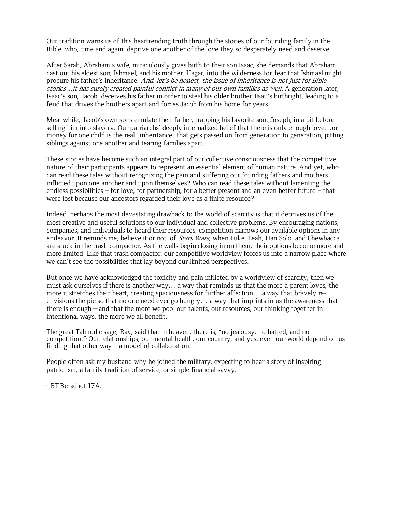Our tradition warns us of this heartrending truth through the stories of our founding family in the Bible, who, time and again, deprive one another of the love they so desperately need and deserve.

After Sarah, Abraham's wife, miraculously gives birth to their son Isaac, she demands that Abraham cast out his eldest son, Ishmael, and his mother, Hagar, into the wilderness for fear that Ishmael might procure his father's inheritance. And, let's be honest, the issue of inheritance is not just for Bible stories...it has surely created painful conflict in many of our own families as well. A generation later, Isaac's son, Jacob, deceives his father in order to steal his older brother Esau's birthright, leading to a feud that drives the brothers apart and forces Jacob from his home for years.

Meanwhile, Jacob's own sons emulate their father, trapping his favorite son, Joseph, in a pit before selling him into slavery. Our patriarchs' deeply internalized belief that there is only enough love…or money for one child is the real "inheritance" that gets passed on from generation to generation, pitting siblings against one another and tearing families apart.

These stories have become such an integral part of our collective consciousness that the competitive nature of their participants appears to represent an essential element of human nature. And yet, who can read these tales without recognizing the pain and suffering our founding fathers and mothers inflicted upon one another and upon themselves? Who can read these tales without lamenting the endless possibilities – for love, for partnership, for a better present and an even better future – that were lost because our ancestors regarded their love as a finite resource?

Indeed, perhaps the most devastating drawback to the world of scarcity is that it deprives us of the most creative and useful solutions to our individual and collective problems. By encouraging nations, companies, and individuals to hoard their resources, competition narrows our available options in any endeavor. It reminds me, believe it or not, of *Stars Wars*, when Luke, Leah, Han Solo, and Chewbacca are stuck in the trash compactor. As the walls begin closing in on them, their options become more and more limited. Like that trash compactor, our competitive worldview forces us into a narrow place where we can't see the possibilities that lay beyond our limited perspectives.

But once we have acknowledged the toxicity and pain inflicted by a worldview of scarcity, then we must ask ourselves if there is another way… a way that reminds us that the more a parent loves, the more it stretches their heart, creating spaciousness for further affection… a way that bravely reenvisions the pie so that no one need ever go hungry… a way that imprints in us the awareness that there is enough—and that the more we pool our talents, our resources, our thinking together in intentional ways, the more we all benefit.

The great Talmudic sage, Rav, said that in heaven, there is, "no jealousy, no hatred, and no competition." <sup>4</sup> Our relationships, our mental health, our country, and yes, even our world depend on us finding that other way—a model of collaboration.

People often ask my husband why he joined the military, expecting to hear a story of inspiring patriotism, a family tradition of service, or simple financial savvy.

<sup>4</sup> BT Berachot 17A.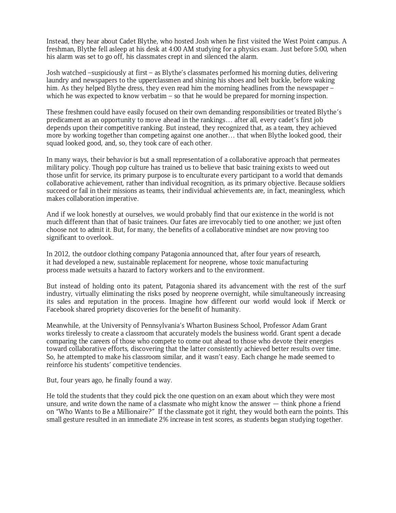Instead, they hear about Cadet Blythe, who hosted Josh when he first visited the West Point campus. A freshman, Blythe fell asleep at his desk at 4:00 AM studying for a physics exam. Just before 5:00, when his alarm was set to go off, his classmates crept in and silenced the alarm.

Josh watched –suspiciously at first – as Blythe's classmates performed his morning duties, delivering laundry and newspapers to the upperclassmen and shining his shoes and belt buckle, before waking him. As they helped Blythe dress, they even read him the morning headlines from the newspaper – which he was expected to know verbatim – so that he would be prepared for morning inspection.

These freshmen could have easily focused on their own demanding responsibilities or treated Blythe's predicament as an opportunity to move ahead in the rankings… after all, every cadet's first job depends upon their competitive ranking. But instead, they recognized that, as a team, they achieved more by working together than competing against one another… that when Blythe looked good, their squad looked good, and, so, they took care of each other.

In many ways, their behavior is but a small representation of a collaborative approach that permeates military policy. Though pop culture has trained us to believe that basic training exists to weed out those unfit for service, its primary purpose is to enculturate every participant to a world that demands collaborative achievement, rather than individual recognition, as its primary objective. Because soldiers succeed or fail in their missions as teams, their individual achievements are, in fact, meaningless, which makes collaboration imperative.

And if we look honestly at ourselves, we would probably find that our existence in the world is not much different than that of basic trainees. Our fates are irrevocably tied to one another; we just often choose not to admit it. But, for many, the benefits of a collaborative mindset are now proving too significant to overlook.

In 2012, the outdoor clothing company Patagonia announced that, after four years of research, it had developed a new, sustainable replacement for neoprene, whose toxic manufacturing process made wetsuits a hazard to factory workers and to the environment.

But instead of holding onto its patent, Patagonia shared its advancement with the rest of the surf industry, virtually eliminating the risks posed by neoprene overnight, while simultaneously increasing its sales and reputation in the process. Imagine how different our world would look if Merck or Facebook shared propriety discoveries for the benefit of humanity.

Meanwhile, at the University of Pennsylvania's Wharton Business School, Professor Adam Grant works tirelessly to create a classroom that accurately models the business world. Grant spent a decade comparing the careers of those who compete to come out ahead to those who devote their energies toward collaborative efforts, discovering that the latter consistently achieved better results over time. So, he attempted to make his classroom similar, and it wasn't easy. Each change he made seemed to reinforce his students' competitive tendencies.

But, four years ago, he finally found a way.

He told the students that they could pick the one question on an exam about which they were most unsure, and write down the name of a classmate who might know the answer — think phone a friend on "Who Wants to Be a Millionaire?" If the classmate got it right, they would both earn the points. This small gesture resulted in an immediate 2% increase in test scores, as students began studying together.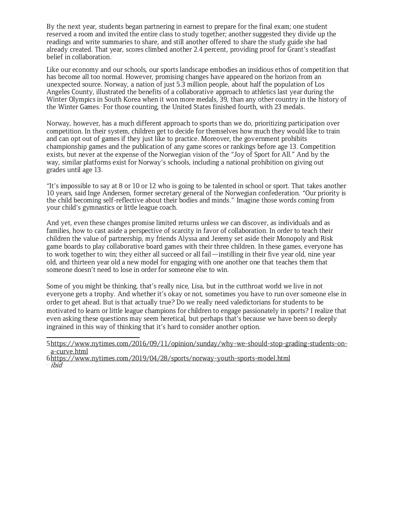By the next year, students began partnering in earnest to prepare for the final exam; one student reserved a room and invited the entire class to study together; another suggested they divide up the readings and write summaries to share, and still another offered to share the study guide she had already created. That year, scores climbed another 2.4 percent, providing proof for Grant's steadfast belief in collaboration.

Like our economy and our schools, our sports landscape embodies an insidious ethos of competition that has become all too normal. However, promising changes have appeared on the horizon from an unexpected source. Norway, a nation of just 5.3 million people, about half the population of Los Angeles County, illustrated the benefits of a collaborative approach to athletics last year during the Winter Olympics in South Korea when it won more medals, 39, than any other country in the history of the Winter Games. For those counting, the United States finished fourth, with 23 medals.

Norway, however, has a much different approach to sports than we do, prioritizing participation over competition. In their system, children get to decide for themselves how much they would like to train and can opt out of games if they just like to practice. Moreover, the government prohibits championship games and the publication of any game scores or rankings before age 13. Competition exists, but never at the expense of the Norwegian vision of the "Joy of Sport for All." And by the way, similar platforms exist for Norway's schools, including a national prohibition on giving out grades until age 13.

"It's impossible to say at 8 or 10 or 12 who is going to be talented in school or sport. That takes another 10 years, said Inge Andersen, former secretary general of the Norwegian confederation. "Our priority is the child becoming self-reflective about their bodies and minds." 7 Imagine those words coming from your child's gymnastics or little league coach.

And yet, even these changes promise limited returns unless we can discover, as individuals and as families, how to cast aside a perspective of scarcity in favor of collaboration. In order to teach their children the value of partnership, my friends Alyssa and Jeremy set aside their Monopoly and Risk game boards to play collaborative board games with their three children. In these games, everyone has to work together to win; they either all succeed or all fail—instilling in their five year old, nine year old, and thirteen year old a new model for engaging with one another one that teaches them that someone doesn't need to lose in order for someone else to win.

Some of you might be thinking, that's really nice, Lisa, but in the cutthroat world we live in not everyone gets a trophy. And whether it's okay or not, sometimes you have to run over someone else in order to get ahead. But is that actually true? Do we really need valedictorians for students to be motivated to learn or little league champions for children to engage passionately in sports? I realize that even asking these questions may seem heretical, but perhaps that's because we have been so deeply ingrained in this way of thinking that it's hard to consider another option.

[<sup>5</sup>https://www.nytimes.com/2016/09/11/opinion/sunday/why-we-should-stop-grading-students-on](https://www.nytimes.com/2016/09/11/opinion/sunday/why-we-should-stop-grading-students-on-a-curve.html)[a-curve.html](https://www.nytimes.com/2016/09/11/opinion/sunday/why-we-should-stop-grading-students-on-a-curve.html)

[<sup>6</sup>https://www.nytimes.com/2019/04/28/sports/norway-youth-sports-model.html](https://www.nytimes.com/2019/04/28/sports/norway-youth-sports-model.html) <sup>,</sup> ibid